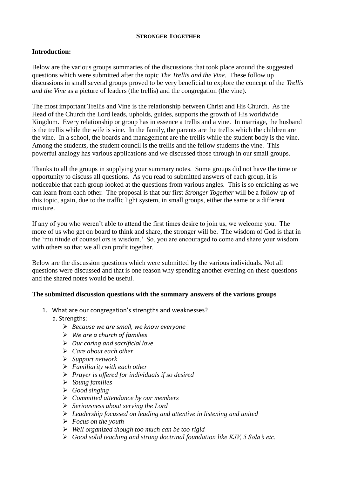#### **STRONGER TOGETHER**

# **Introduction:**

Below are the various groups summaries of the discussions that took place around the suggested questions which were submitted after the topic *The Trellis and the Vine.* These follow up discussions in small several groups proved to be very beneficial to explore the concept of the *Trellis and the Vine* as a picture of leaders (the trellis) and the congregation (the vine).

The most important Trellis and Vine is the relationship between Christ and His Church. As the Head of the Church the Lord leads, upholds, guides, supports the growth of His worldwide Kingdom. Every relationship or group has in essence a trellis and a vine. In marriage, the husband is the trellis while the wife is vine. In the family, the parents are the trellis which the children are the vine. In a school, the boards and management are the trellis while the student body is the vine. Among the students, the student council is the trellis and the fellow students the vine. This powerful analogy has various applications and we discussed those through in our small groups.

Thanks to all the groups in supplying your summary notes. Some groups did not have the time or opportunity to discuss all questions. As you read to submitted answers of each group, it is noticeable that each group looked at the questions from various angles. This is so enriching as we can learn from each other. The proposal is that our first *Stronger Together* will be a follow-up of this topic, again, due to the traffic light system, in small groups, either the same or a different mixture.

If any of you who weren't able to attend the first times desire to join us, we welcome you. The more of us who get on board to think and share, the stronger will be. The wisdom of God is that in the 'multitude of counsellors is wisdom.' So, you are encouraged to come and share your wisdom with others so that we all can profit together.

Below are the discussion questions which were submitted by the various individuals. Not all questions were discussed and that is one reason why spending another evening on these questions and the shared notes would be useful.

## **The submitted discussion questions with the summary answers of the various groups**

- 1. What are our congregation's strengths and weaknesses?
	- a. Strengths:
		- *Because we are small, we know everyone*
		- *We are a church of families*
		- *Our caring and sacrificial love*
		- *Care about each other*
		- *Support network*
		- *Familiarity with each other*
		- *Prayer is offered for individuals if so desired*
		- *Young families*
		- *Good singing*
		- *Committed attendance by our members*
		- *Seriousness about serving the Lord*
		- *Leadership focussed on leading and attentive in listening and united*
		- *Focus on the youth*
		- *Well organized though too much can be too rigid*
		- *Good solid teaching and strong doctrinal foundation like KJV, 5 Sola's etc.*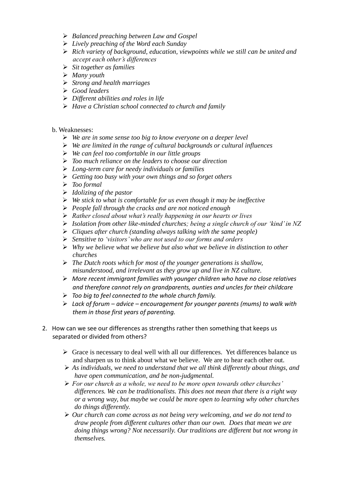- *Balanced preaching between Law and Gospel*
- *Lively preaching of the Word each Sunday*
- *Rich variety of background, education, viewpoints while we still can be united and accept each other's differences*
- *Sit together as families*
- *Many youth*
- *Strong and health marriages*
- *Good leaders*
- *Different abilities and roles in life*
- *Have a Christian school connected to church and family*

#### b. Weaknesses:

- *We are in some sense too big to know everyone on a deeper level*
- *We are limited in the range of cultural backgrounds or cultural influences*
- *We can feel too comfortable in our little groups*
- *Too much reliance on the leaders to choose our direction*
- *Long-term care for needy individuals or families*
- *Getting too busy with your own things and so forget others*
- *Too formal*
- *Idolizing of the pastor*
- *We stick to what is comfortable for us even though it may be ineffective*
- *People fall through the cracks and are not noticed enough*
- *Rather closed about what's really happening in our hearts or lives*
- *Isolation from other like-minded churches; being a single church of our 'kind' in NZ*
- *Cliques after church (standing always talking with the same people)*
- *Sensitive to 'visitors' who are not used to our forms and orders*
- *Why we believe what we believe but also what we believe in distinction to other churches*
- *The Dutch roots which for most of the younger generations is shallow, misunderstood, and irrelevant as they grow up and live in NZ culture.*
- *More recent immigrant families with younger children who have no close relatives and therefore cannot rely on grandparents, aunties and uncles for their childcare*
- *Too big to feel connected to the whole church family.*
- *Lack of forum – advice – encouragement for younger parents (mums) to walk with them in those first years of parenting.*
- 2. How can we see our differences as strengths rather then something that keeps us separated or divided from others?
	- $\triangleright$  Grace is necessary to deal well with all our differences. Yet differences balance us and sharpen us to think about what we believe. We are to hear each other out.
	- *As individuals, we need to understand that we all think differently about things, and have open communication, and be non-judgmental.*
	- *For our church as a whole, we need to be more open towards other churches' differences. We can be traditionalists. This does not mean that there is a right way or a wrong way, but maybe we could be more open to learning why other churches do things differently.*
	- *Our church can come across as not being very welcoming, and we do not tend to draw people from different cultures other than our own. Does that mean we are doing things wrong? Not necessarily. Our traditions are different but not wrong in themselves.*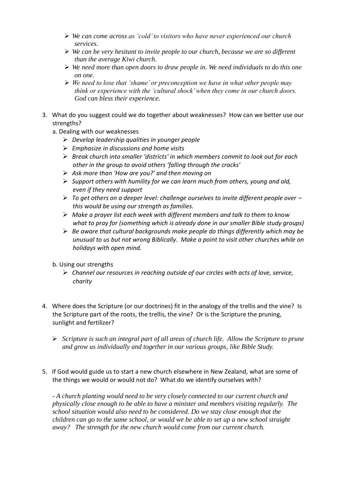- *We can come across as 'cold' to visitors who have never experienced our church services.*
- *We can be very hesitant to invite people to our church, because we are so different than the average Kiwi church.*
- *We need more than open doors to draw people in. We need individuals to do this one on one.*
- *We need to lose that 'shame' or preconception we have in what other people may think or experience with the 'cultural shock' when they come in our church doors. God can bless their experience.*
- 3. What do you suggest could we do together about weaknesses? How can we better use our strengths?
	- a. Dealing with our weaknesses
		- *Develop leadership qualities in younger people*
		- *Emphasize in discussions and home visits*
		- *Break church into smaller 'districts' in which members commit to look out for each other in the group to avoid others 'falling through the cracks'*
		- *Ask more than 'How are you?' and then moving on*
		- *Support others with humility for we can learn much from others, young and old, even if they need support*
		- *To get others on a deeper level: challenge ourselves to invite different people over – this would be using our strength as families.*
		- *Make a prayer list each week with different members and talk to them to know what to pray for (something which is already done in our smaller Bible study groups)*
		- *Be aware that cultural backgrounds make people do things differently which may be unusual to us but not wrong Biblically. Make a point to visit other churches while on holidays with open mind.*
	- b. Using our strengths
		- *Channel our resources in reaching outside of our circles with acts of love, service, charity*
- 4. Where does the Scripture (or our doctrines) fit in the analogy of the trellis and the vine? Is the Scripture part of the roots, the trellis, the vine? Or is the Scripture the pruning, sunlight and fertilizer?
	- *Scripture is such an integral part of all areas of church life. Allow the Scripture to prune and grow us individually and together in our various groups, like Bible Study.*

## 5. If God would guide us to start a new church elsewhere in New Zealand, what are some of the things we would or would not do? What do we identify ourselves with?

*- A church planting would need to be very closely connected to our current church and physically close enough to be able to have a minister and members visiting regularly. The school situation would also need to be considered. Do we stay close enough that the children can go to the same school, or would we be able to set up a new school straight away? The strength for the new church would come from our current church.*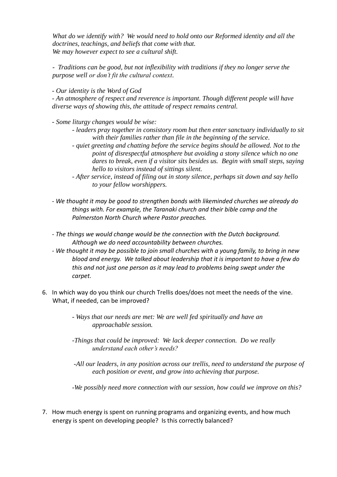*What do we identify with? We would need to hold onto our Reformed identity and all the doctrines, teachings, and beliefs that come with that. We may however expect to see a cultural shift.*

*- Traditions can be good, but not inflexibility with traditions if they no longer serve the purpose well or don't fit the cultural context.*

*- Our identity is the Word of God* 

*- An atmosphere of respect and reverence is important. Though different people will have diverse ways of showing this, the attitude of respect remains central.* 

*- Some liturgy changes would be wise:* 

- *- leaders pray together in consistory room but then enter sanctuary individually to sit with their families rather than file in the beginning of the service.*
- *- quiet greeting and chatting before the service begins should be allowed. Not to the point of disrespectful atmosphere but avoiding a stony silence which no one dares to break, even if a visitor sits besides us. Begin with small steps, saying hello to visitors instead of sittings silent.*
- *- After service, instead of filing out in stony silence, perhaps sit down and say hello to your fellow worshippers.*
- *- We thought it may be good to strengthen bonds with likeminded churches we already do things with. For example, the Taranaki church and their bible camp and the Palmerston North Church where Pastor preaches.*
- *- The things we would change would be the connection with the Dutch background. Although we do need accountability between churches.*
- *- We thought it may be possible to join small churches with a young family, to bring in new blood and energy. We talked about leadership that it is important to have a few do this and not just one person as it may lead to problems being swept under the carpet.*
- 6. In which way do you think our church Trellis does/does not meet the needs of the vine. What, if needed, can be improved?
	- *- Ways that our needs are met: We are well fed spiritually and have an approachable session.*
	- *-Things that could be improved: We lack deeper connection. Do we really understand each other's needs?*
	- *-All our leaders, in any position across our trellis, need to understand the purpose of each position or event, and grow into achieving that purpose.*
	- *-We possibly need more connection with our session, how could we improve on this?*
- 7. How much energy is spent on running programs and organizing events, and how much energy is spent on developing people? Is this correctly balanced?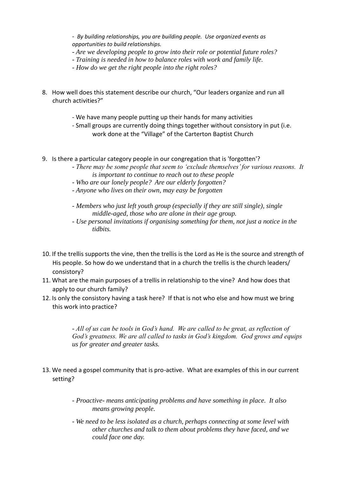- *By building relationships, you are building people. Use organized events as opportunities to build relationships.*

- *- Are we developing people to grow into their role or potential future roles?*
- *- Training is needed in how to balance roles with work and family life.*
- *- How do we get the right people into the right roles?*
- 8. How well does this statement describe our church, "Our leaders organize and run all church activities?"
	- We have many people putting up their hands for many activities
	- Small groups are currently doing things together without consistory in put (i.e. work done at the "Village" of the Carterton Baptist Church
- 9. Is there a particular category people in our congregation that is 'forgotten'?
	- *There may be some people that seem to 'exclude themselves' for various reasons. It is important to continue to reach out to these people*
	- *- Who are our lonely people? Are our elderly forgotten?*
	- *- Anyone who lives on their own, may easy be forgotten*
	- *- Members who just left youth group (especially if they are still single), single middle-aged, those who are alone in their age group.*
	- *- Use personal invitations if organising something for them, not just a notice in the tidbits.*
- 10. If the trellis supports the vine, then the trellis is the Lord as He is the source and strength of His people. So how do we understand that in a church the trellis is the church leaders/ consistory?
- 11. What are the main purposes of a trellis in relationship to the vine? And how does that apply to our church family?
- 12. Is only the consistory having a task here? If that is not who else and how must we bring this work into practice?

- *All of us can be tools in God's hand. We are called to be great, as reflection of God's greatness. We are all called to tasks in God's kingdom. God grows and equips us for greater and greater tasks.*

- 13. We need a gospel community that is pro-active. What are examples of this in our current setting?
	- *- Proactive- means anticipating problems and have something in place. It also means growing people.*
	- *- We need to be less isolated as a church, perhaps connecting at some level with other churches and talk to them about problems they have faced, and we could face one day.*